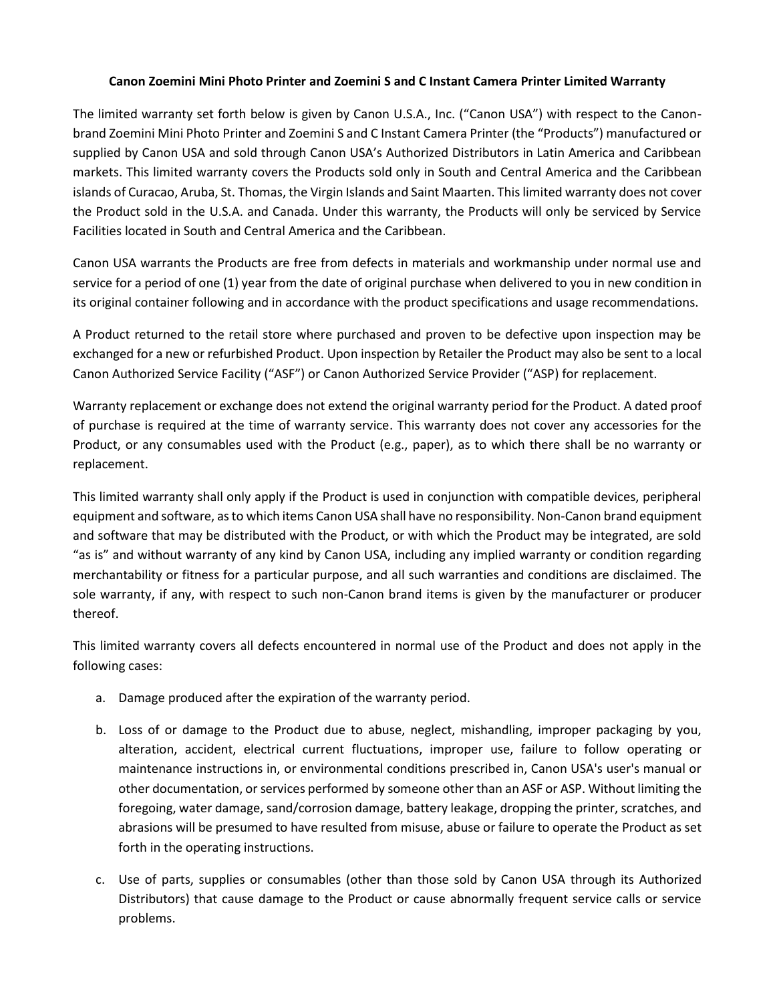## **Canon Zoemini Mini Photo Printer and Zoemini S and C Instant Camera Printer Limited Warranty**

The limited warranty set forth below is given by Canon U.S.A., Inc. ("Canon USA") with respect to the Canonbrand Zoemini Mini Photo Printer and Zoemini S and C Instant Camera Printer (the "Products") manufactured or supplied by Canon USA and sold through Canon USA's Authorized Distributors in Latin America and Caribbean markets. This limited warranty covers the Products sold only in South and Central America and the Caribbean islands of Curacao, Aruba, St. Thomas, the Virgin Islands and Saint Maarten. This limited warranty does not cover the Product sold in the U.S.A. and Canada. Under this warranty, the Products will only be serviced by Service Facilities located in South and Central America and the Caribbean.

Canon USA warrants the Products are free from defects in materials and workmanship under normal use and service for a period of one (1) year from the date of original purchase when delivered to you in new condition in its original container following and in accordance with the product specifications and usage recommendations.

A Product returned to the retail store where purchased and proven to be defective upon inspection may be exchanged for a new or refurbished Product. Upon inspection by Retailer the Product may also be sent to a local Canon Authorized Service Facility ("ASF") or Canon Authorized Service Provider ("ASP) for replacement.

Warranty replacement or exchange does not extend the original warranty period for the Product. A dated proof of purchase is required at the time of warranty service. This warranty does not cover any accessories for the Product, or any consumables used with the Product (e.g., paper), as to which there shall be no warranty or replacement.

This limited warranty shall only apply if the Product is used in conjunction with compatible devices, peripheral equipment and software, as to which items Canon USA shall have no responsibility. Non-Canon brand equipment and software that may be distributed with the Product, or with which the Product may be integrated, are sold "as is" and without warranty of any kind by Canon USA, including any implied warranty or condition regarding merchantability or fitness for a particular purpose, and all such warranties and conditions are disclaimed. The sole warranty, if any, with respect to such non-Canon brand items is given by the manufacturer or producer thereof.

This limited warranty covers all defects encountered in normal use of the Product and does not apply in the following cases:

- a. Damage produced after the expiration of the warranty period.
- b. Loss of or damage to the Product due to abuse, neglect, mishandling, improper packaging by you, alteration, accident, electrical current fluctuations, improper use, failure to follow operating or maintenance instructions in, or environmental conditions prescribed in, Canon USA's user's manual or other documentation, or services performed by someone other than an ASF or ASP. Without limiting the foregoing, water damage, sand/corrosion damage, battery leakage, dropping the printer, scratches, and abrasions will be presumed to have resulted from misuse, abuse or failure to operate the Product as set forth in the operating instructions.
- c. Use of parts, supplies or consumables (other than those sold by Canon USA through its Authorized Distributors) that cause damage to the Product or cause abnormally frequent service calls or service problems.